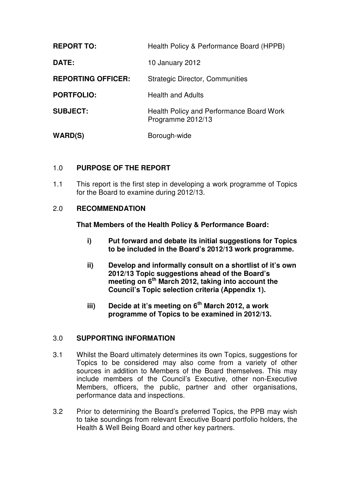| <b>REPORT TO:</b>         | Health Policy & Performance Board (HPPB)                      |  |
|---------------------------|---------------------------------------------------------------|--|
| DATE:                     | 10 January 2012                                               |  |
| <b>REPORTING OFFICER:</b> | <b>Strategic Director, Communities</b>                        |  |
| <b>PORTFOLIO:</b>         | <b>Health and Adults</b>                                      |  |
| <b>SUBJECT:</b>           | Health Policy and Performance Board Work<br>Programme 2012/13 |  |
| WARD(S)                   | Borough-wide                                                  |  |

## 1.0 **PURPOSE OF THE REPORT**

1.1 This report is the first step in developing a work programme of Topics for the Board to examine during 2012/13.

### 2.0 **RECOMMENDATION**

### **That Members of the Health Policy & Performance Board:**

- **i) Put forward and debate its initial suggestions for Topics to be included in the Board's 2012/13 work programme.**
- **ii) Develop and informally consult on a shortlist of it's own 2012/13 Topic suggestions ahead of the Board's meeting on 6th March 2012, taking into account the Council's Topic selection criteria (Appendix 1).**
- **iii) Decide at it's meeting on 6th March 2012, a work programme of Topics to be examined in 2012/13.**

### 3.0 **SUPPORTING INFORMATION**

- 3.1 Whilst the Board ultimately determines its own Topics, suggestions for Topics to be considered may also come from a variety of other sources in addition to Members of the Board themselves. This may include members of the Council's Executive, other non-Executive Members, officers, the public, partner and other organisations, performance data and inspections.
- 3.2 Prior to determining the Board's preferred Topics, the PPB may wish to take soundings from relevant Executive Board portfolio holders, the Health & Well Being Board and other key partners.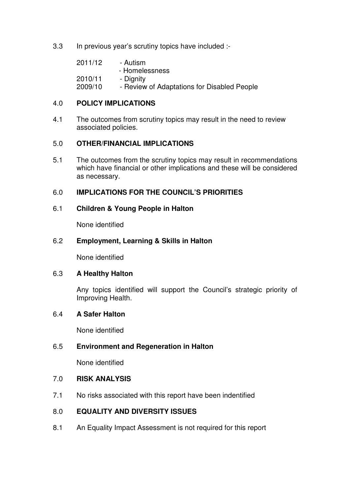3.3 In previous year's scrutiny topics have included :-

| 2011/12 | - Autism                                    |
|---------|---------------------------------------------|
|         | - Homelessness                              |
| 2010/11 | - Dignity                                   |
| 2009/10 | - Review of Adaptations for Disabled People |

### 4.0 **POLICY IMPLICATIONS**

4.1 The outcomes from scrutiny topics may result in the need to review associated policies.

### 5.0 **OTHER/FINANCIAL IMPLICATIONS**

5.1 The outcomes from the scrutiny topics may result in recommendations which have financial or other implications and these will be considered as necessary.

## 6.0 **IMPLICATIONS FOR THE COUNCIL'S PRIORITIES**

### 6.1 **Children & Young People in Halton**

None identified

### 6.2 **Employment, Learning & Skills in Halton**

None identified

### 6.3 **A Healthy Halton**

Any topics identified will support the Council's strategic priority of Improving Health.

### 6.4 **A Safer Halton**

None identified

### 6.5 **Environment and Regeneration in Halton**

None identified

### 7.0 **RISK ANALYSIS**

7.1 No risks associated with this report have been indentified

## 8.0 **EQUALITY AND DIVERSITY ISSUES**

8.1 An Equality Impact Assessment is not required for this report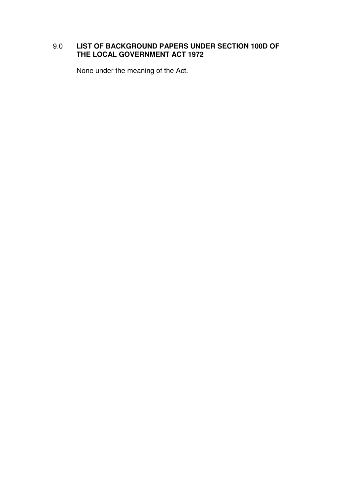# 9.0 **LIST OF BACKGROUND PAPERS UNDER SECTION 100D OF THE LOCAL GOVERNMENT ACT 1972**

None under the meaning of the Act.